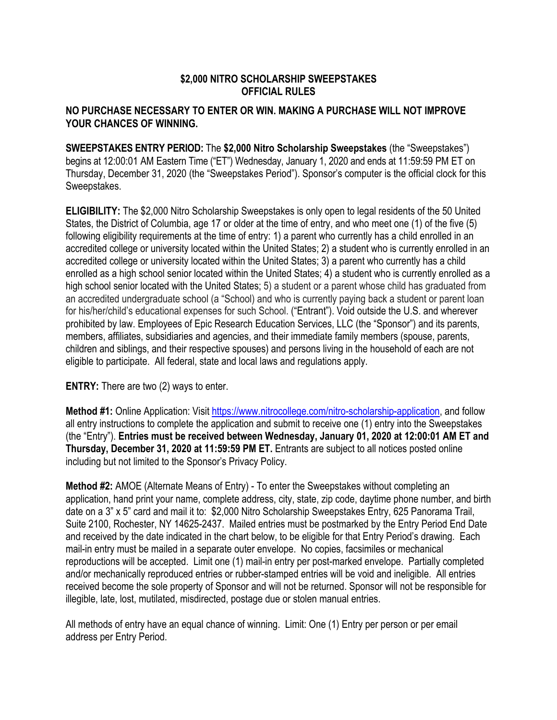## **\$2,000 NITRO SCHOLARSHIP SWEEPSTAKES OFFICIAL RULES**

## **NO PURCHASE NECESSARY TO ENTER OR WIN. MAKING A PURCHASE WILL NOT IMPROVE YOUR CHANCES OF WINNING.**

**SWEEPSTAKES ENTRY PERIOD:** The **\$2,000 Nitro Scholarship Sweepstakes** (the "Sweepstakes") begins at 12:00:01 AM Eastern Time ("ET") Wednesday, January 1, 2020 and ends at 11:59:59 PM ET on Thursday, December 31, 2020 (the "Sweepstakes Period"). Sponsor's computer is the official clock for this Sweepstakes.

**ELIGIBILITY:** The \$2,000 Nitro Scholarship Sweepstakes is only open to legal residents of the 50 United States, the District of Columbia, age 17 or older at the time of entry, and who meet one (1) of the five (5) following eligibility requirements at the time of entry: 1) a parent who currently has a child enrolled in an accredited college or university located within the United States; 2) a student who is currently enrolled in an accredited college or university located within the United States; 3) a parent who currently has a child enrolled as a high school senior located within the United States; 4) a student who is currently enrolled as a high school senior located with the United States; 5) a student or a parent whose child has graduated from an accredited undergraduate school (a "School) and who is currently paying back a student or parent loan for his/her/child's educational expenses for such School. ("Entrant"). Void outside the U.S. and wherever prohibited by law. Employees of Epic Research Education Services, LLC (the "Sponsor") and its parents, members, affiliates, subsidiaries and agencies, and their immediate family members (spouse, parents, children and siblings, and their respective spouses) and persons living in the household of each are not eligible to participate. All federal, state and local laws and regulations apply.

**ENTRY:** There are two (2) ways to enter.

**Method #1:** Online Application: Visit https://www.nitrocollege.com/nitro-scholarship-application, and follow all entry instructions to complete the application and submit to receive one (1) entry into the Sweepstakes (the "Entry"). **Entries must be received between Wednesday, January 01, 2020 at 12:00:01 AM ET and Thursday, December 31, 2020 at 11:59:59 PM ET.** Entrants are subject to all notices posted online including but not limited to the Sponsor's Privacy Policy.

**Method #2:** AMOE (Alternate Means of Entry) - To enter the Sweepstakes without completing an application, hand print your name, complete address, city, state, zip code, daytime phone number, and birth date on a 3" x 5" card and mail it to: \$2,000 Nitro Scholarship Sweepstakes Entry, 625 Panorama Trail, Suite 2100, Rochester, NY 14625-2437. Mailed entries must be postmarked by the Entry Period End Date and received by the date indicated in the chart below, to be eligible for that Entry Period's drawing. Each mail-in entry must be mailed in a separate outer envelope. No copies, facsimiles or mechanical reproductions will be accepted. Limit one (1) mail-in entry per post-marked envelope. Partially completed and/or mechanically reproduced entries or rubber-stamped entries will be void and ineligible. All entries received become the sole property of Sponsor and will not be returned. Sponsor will not be responsible for illegible, late, lost, mutilated, misdirected, postage due or stolen manual entries.

All methods of entry have an equal chance of winning. Limit: One (1) Entry per person or per email address per Entry Period.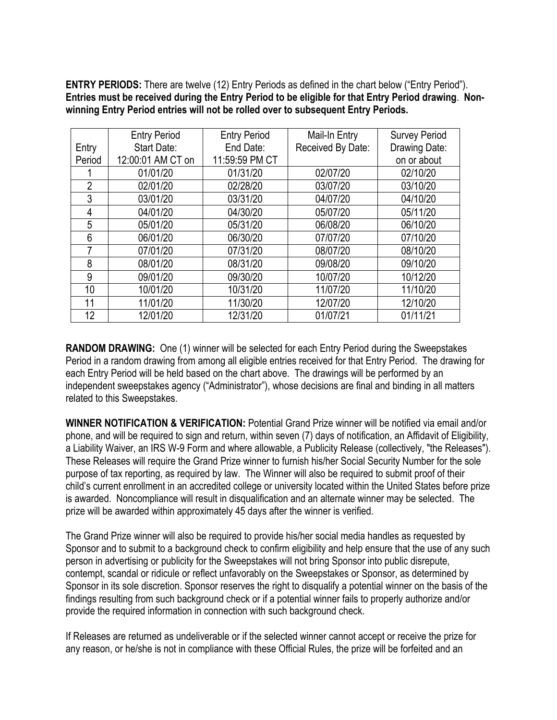**ENTRY PERIODS:** There are twelve (12) Entry Periods as defined in the chart below ("Entry Period"). **Entries must be received during the Entry Period to be eligible for that Entry Period drawing**. **Nonwinning Entry Period entries will not be rolled over to subsequent Entry Periods.** 

|                | <b>Entry Period</b> | <b>Entry Period</b> | Mail-In Entry     | <b>Survey Period</b> |
|----------------|---------------------|---------------------|-------------------|----------------------|
| Entry          | Start Date:         | End Date:           | Received By Date: | Drawing Date:        |
| Period         | 12:00:01 AM CT on   | 11:59:59 PM CT      |                   | on or about          |
|                | 01/01/20            | 01/31/20            | 02/07/20          | 02/10/20             |
| $\overline{2}$ | 02/01/20            | 02/28/20            | 03/07/20          | 03/10/20             |
| 3              | 03/01/20            | 03/31/20            | 04/07/20          | 04/10/20             |
| 4              | 04/01/20            | 04/30/20            | 05/07/20          | 05/11/20             |
| 5              | 05/01/20            | 05/31/20            | 06/08/20          | 06/10/20             |
| 6              | 06/01/20            | 06/30/20            | 07/07/20          | 07/10/20             |
| 7              | 07/01/20            | 07/31/20            | 08/07/20          | 08/10/20             |
| 8              | 08/01/20            | 08/31/20            | 09/08/20          | 09/10/20             |
| 9              | 09/01/20            | 09/30/20            | 10/07/20          | 10/12/20             |
| 10             | 10/01/20            | 10/31/20            | 11/07/20          | 11/10/20             |
| 11             | 11/01/20            | 11/30/20            | 12/07/20          | 12/10/20             |
| 12             | 12/01/20            | 12/31/20            | 01/07/21          | 01/11/21             |

**RANDOM DRAWING:** One (1) winner will be selected for each Entry Period during the Sweepstakes Period in a random drawing from among all eligible entries received for that Entry Period. The drawing for each Entry Period will be held based on the chart above. The drawings will be performed by an independent sweepstakes agency ("Administrator"), whose decisions are final and binding in all matters related to this Sweepstakes.

**WINNER NOTIFICATION & VERIFICATION:** Potential Grand Prize winner will be notified via email and/or phone, and will be required to sign and return, within seven (7) days of notification, an Affidavit of Eligibility, a Liability Waiver, an IRS W-9 Form and where allowable, a Publicity Release (collectively, "the Releases"). These Releases will require the Grand Prize winner to furnish his/her Social Security Number for the sole purpose of tax reporting, as required by law. The Winner will also be required to submit proof of their child's current enrollment in an accredited college or university located within the United States before prize is awarded. Noncompliance will result in disqualification and an alternate winner may be selected.The prize will be awarded within approximately 45 days after the winner is verified.

The Grand Prize winner will also be required to provide his/her social media handles as requested by Sponsor and to submit to a background check to confirm eligibility and help ensure that the use of any such person in advertising or publicity for the Sweepstakes will not bring Sponsor into public disrepute, contempt, scandal or ridicule or reflect unfavorably on the Sweepstakes or Sponsor, as determined by Sponsor in its sole discretion. Sponsor reserves the right to disqualify a potential winner on the basis of the findings resulting from such background check or if a potential winner fails to properly authorize and/or provide the required information in connection with such background check.

If Releases are returned as undeliverable or if the selected winner cannot accept or receive the prize for any reason, or he/she is not in compliance with these Official Rules, the prize will be forfeited and an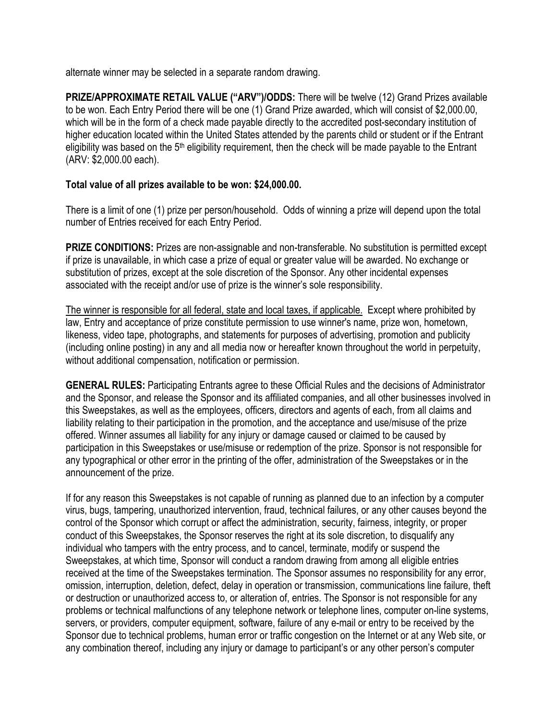alternate winner may be selected in a separate random drawing.

**PRIZE/APPROXIMATE RETAIL VALUE ("ARV")/ODDS:** There will be twelve (12) Grand Prizes available to be won. Each Entry Period there will be one (1) Grand Prize awarded, which will consist of \$2,000.00, which will be in the form of a check made payable directly to the accredited post-secondary institution of higher education located within the United States attended by the parents child or student or if the Entrant eligibility was based on the  $5<sup>th</sup>$  eligibility requirement, then the check will be made payable to the Entrant (ARV: \$2,000.00 each).

## **Total value of all prizes available to be won: \$24,000.00.**

There is a limit of one (1) prize per person/household. Odds of winning a prize will depend upon the total number of Entries received for each Entry Period.

**PRIZE CONDITIONS:** Prizes are non-assignable and non-transferable. No substitution is permitted except if prize is unavailable, in which case a prize of equal or greater value will be awarded. No exchange or substitution of prizes, except at the sole discretion of the Sponsor. Any other incidental expenses associated with the receipt and/or use of prize is the winner's sole responsibility.

The winner is responsible for all federal, state and local taxes, if applicable. Except where prohibited by law, Entry and acceptance of prize constitute permission to use winner's name, prize won, hometown, likeness, video tape, photographs, and statements for purposes of advertising, promotion and publicity (including online posting) in any and all media now or hereafter known throughout the world in perpetuity, without additional compensation, notification or permission.

**GENERAL RULES:** Participating Entrants agree to these Official Rules and the decisions of Administrator and the Sponsor, and release the Sponsor and its affiliated companies, and all other businesses involved in this Sweepstakes, as well as the employees, officers, directors and agents of each, from all claims and liability relating to their participation in the promotion, and the acceptance and use/misuse of the prize offered. Winner assumes all liability for any injury or damage caused or claimed to be caused by participation in this Sweepstakes or use/misuse or redemption of the prize. Sponsor is not responsible for any typographical or other error in the printing of the offer, administration of the Sweepstakes or in the announcement of the prize.

If for any reason this Sweepstakes is not capable of running as planned due to an infection by a computer virus, bugs, tampering, unauthorized intervention, fraud, technical failures, or any other causes beyond the control of the Sponsor which corrupt or affect the administration, security, fairness, integrity, or proper conduct of this Sweepstakes, the Sponsor reserves the right at its sole discretion, to disqualify any individual who tampers with the entry process, and to cancel, terminate, modify or suspend the Sweepstakes, at which time, Sponsor will conduct a random drawing from among all eligible entries received at the time of the Sweepstakes termination. The Sponsor assumes no responsibility for any error, omission, interruption, deletion, defect, delay in operation or transmission, communications line failure, theft or destruction or unauthorized access to, or alteration of, entries. The Sponsor is not responsible for any problems or technical malfunctions of any telephone network or telephone lines, computer on-line systems, servers, or providers, computer equipment, software, failure of any e-mail or entry to be received by the Sponsor due to technical problems, human error or traffic congestion on the Internet or at any Web site, or any combination thereof, including any injury or damage to participant's or any other person's computer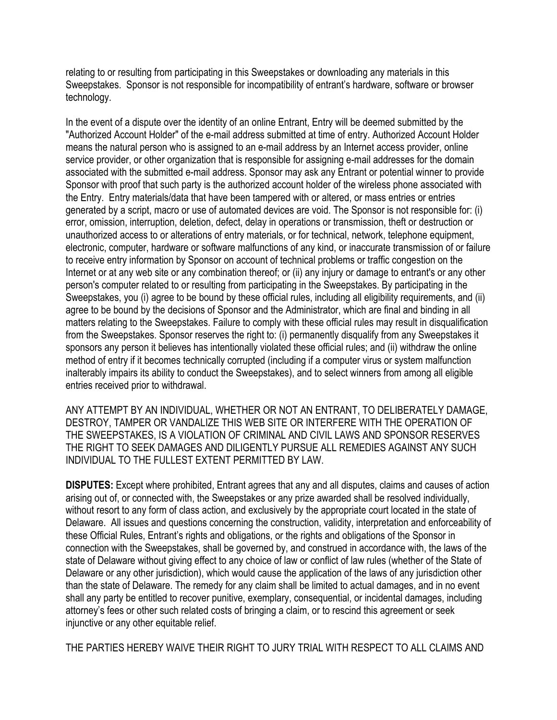relating to or resulting from participating in this Sweepstakes or downloading any materials in this Sweepstakes. Sponsor is not responsible for incompatibility of entrant's hardware, software or browser technology.

In the event of a dispute over the identity of an online Entrant, Entry will be deemed submitted by the "Authorized Account Holder" of the e-mail address submitted at time of entry. Authorized Account Holder means the natural person who is assigned to an e-mail address by an Internet access provider, online service provider, or other organization that is responsible for assigning e-mail addresses for the domain associated with the submitted e-mail address. Sponsor may ask any Entrant or potential winner to provide Sponsor with proof that such party is the authorized account holder of the wireless phone associated with the Entry. Entry materials/data that have been tampered with or altered, or mass entries or entries generated by a script, macro or use of automated devices are void. The Sponsor is not responsible for: (i) error, omission, interruption, deletion, defect, delay in operations or transmission, theft or destruction or unauthorized access to or alterations of entry materials, or for technical, network, telephone equipment, electronic, computer, hardware or software malfunctions of any kind, or inaccurate transmission of or failure to receive entry information by Sponsor on account of technical problems or traffic congestion on the Internet or at any web site or any combination thereof; or (ii) any injury or damage to entrant's or any other person's computer related to or resulting from participating in the Sweepstakes. By participating in the Sweepstakes, you (i) agree to be bound by these official rules, including all eligibility requirements, and (ii) agree to be bound by the decisions of Sponsor and the Administrator, which are final and binding in all matters relating to the Sweepstakes. Failure to comply with these official rules may result in disqualification from the Sweepstakes. Sponsor reserves the right to: (i) permanently disqualify from any Sweepstakes it sponsors any person it believes has intentionally violated these official rules; and (ii) withdraw the online method of entry if it becomes technically corrupted (including if a computer virus or system malfunction inalterably impairs its ability to conduct the Sweepstakes), and to select winners from among all eligible entries received prior to withdrawal.

ANY ATTEMPT BY AN INDIVIDUAL, WHETHER OR NOT AN ENTRANT, TO DELIBERATELY DAMAGE, DESTROY, TAMPER OR VANDALIZE THIS WEB SITE OR INTERFERE WITH THE OPERATION OF THE SWEEPSTAKES, IS A VIOLATION OF CRIMINAL AND CIVIL LAWS AND SPONSOR RESERVES THE RIGHT TO SEEK DAMAGES AND DILIGENTLY PURSUE ALL REMEDIES AGAINST ANY SUCH INDIVIDUAL TO THE FULLEST EXTENT PERMITTED BY LAW.

**DISPUTES:** Except where prohibited, Entrant agrees that any and all disputes, claims and causes of action arising out of, or connected with, the Sweepstakes or any prize awarded shall be resolved individually, without resort to any form of class action, and exclusively by the appropriate court located in the state of Delaware. All issues and questions concerning the construction, validity, interpretation and enforceability of these Official Rules, Entrant's rights and obligations, or the rights and obligations of the Sponsor in connection with the Sweepstakes, shall be governed by, and construed in accordance with, the laws of the state of Delaware without giving effect to any choice of law or conflict of law rules (whether of the State of Delaware or any other jurisdiction), which would cause the application of the laws of any jurisdiction other than the state of Delaware. The remedy for any claim shall be limited to actual damages, and in no event shall any party be entitled to recover punitive, exemplary, consequential, or incidental damages, including attorney's fees or other such related costs of bringing a claim, or to rescind this agreement or seek injunctive or any other equitable relief.

THE PARTIES HEREBY WAIVE THEIR RIGHT TO JURY TRIAL WITH RESPECT TO ALL CLAIMS AND